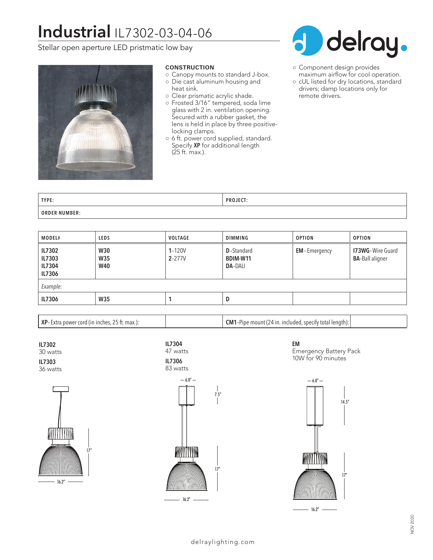# **Industrial** IL7302-03-04-06

Stellar open aperture LED pristmatic low bay



## **CONSTRUCTION**

- Canopy mounts to standard J-box.
- Die cast aluminum housing and
	- heat sink.
- Clear prismatic acrylic shade.
- Frosted 3/16" tempered, soda lime glass with 2 in. ventilation opening. Secured with a rubber gasket, the lens is held in place by three positivelocking clamps.
- 6 ft. power cord supplied, standard. Specify **XP** for additional length (25 ft. max.).



- Component design provides maximum airflow for cool operation.
- cUL listed for dry locations, standard drivers; damp locations only for remote drivers.

| TYPE:                   | 15.CT<br><b>DDO</b><br>FRUJELI. |
|-------------------------|---------------------------------|
| <b>NUMBER:</b><br>ORDER |                                 |

| MODEL#                                      | <b>LEDS</b>                            | <b>VOLTAGE</b>           | <b>DIMMING</b>                                   | <b>OPTION</b>       | <b>OPTION</b>                                     |  |  |
|---------------------------------------------|----------------------------------------|--------------------------|--------------------------------------------------|---------------------|---------------------------------------------------|--|--|
| <b>IL7302</b><br>IL7303<br>IL7304<br>IL7306 | <b>W30</b><br><b>W35</b><br><b>W40</b> | $1 - 120V$<br>$2 - 277V$ | <b>D</b> -Standard<br>BDIM-W11<br><b>DA-DALI</b> | <b>EM-Emergency</b> | <b>173WG-Wire Guard</b><br><b>BA-Ball aligner</b> |  |  |
| Example:                                    |                                        |                          |                                                  |                     |                                                   |  |  |
| <b>IL7306</b>                               | <b>W35</b>                             |                          | D                                                |                     |                                                   |  |  |

**XP**– Extra power cord (in inches, 25 ft. max.): **CM1**–Pipe mount (24 in. included, specify total length):

**IL7302** 30 watts **IL7303**

36 watts









**EM** Emergency Battery Pack 10W for 90 minutes